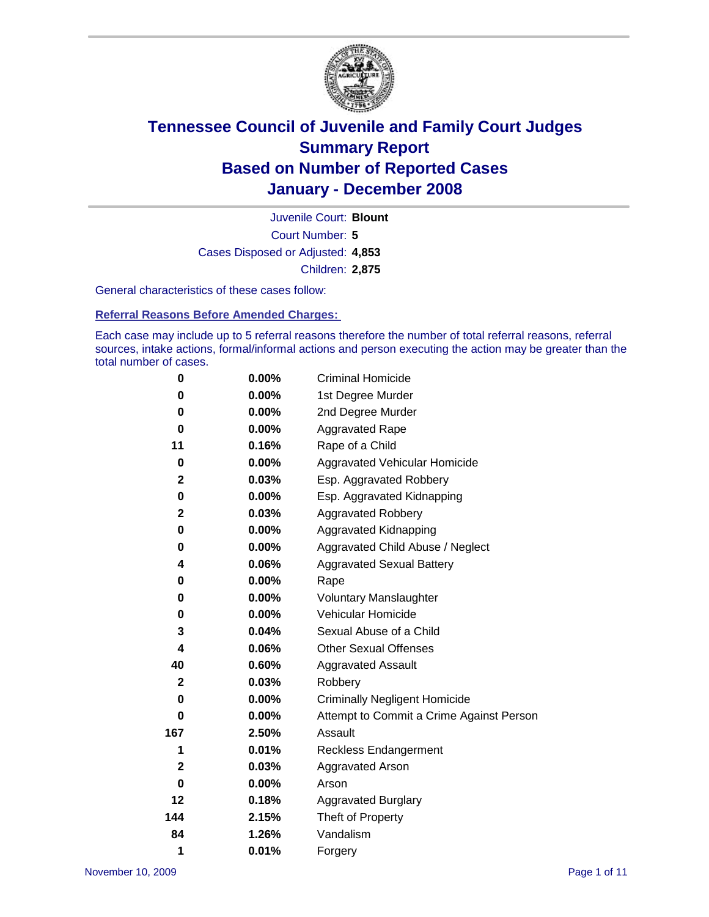

Court Number: **5** Juvenile Court: **Blount** Cases Disposed or Adjusted: **4,853** Children: **2,875**

General characteristics of these cases follow:

**Referral Reasons Before Amended Charges:** 

Each case may include up to 5 referral reasons therefore the number of total referral reasons, referral sources, intake actions, formal/informal actions and person executing the action may be greater than the total number of cases.

| 0            | 0.00%    | <b>Criminal Homicide</b>                 |
|--------------|----------|------------------------------------------|
| 0            | 0.00%    | 1st Degree Murder                        |
| 0            | $0.00\%$ | 2nd Degree Murder                        |
| 0            | 0.00%    | <b>Aggravated Rape</b>                   |
| 11           | 0.16%    | Rape of a Child                          |
| $\bf{0}$     | 0.00%    | <b>Aggravated Vehicular Homicide</b>     |
| $\mathbf{2}$ | 0.03%    | Esp. Aggravated Robbery                  |
| 0            | 0.00%    | Esp. Aggravated Kidnapping               |
| $\mathbf 2$  | 0.03%    | Aggravated Robbery                       |
| 0            | 0.00%    | Aggravated Kidnapping                    |
| 0            | 0.00%    | Aggravated Child Abuse / Neglect         |
| 4            | 0.06%    | <b>Aggravated Sexual Battery</b>         |
| 0            | 0.00%    | Rape                                     |
| 0            | 0.00%    | <b>Voluntary Manslaughter</b>            |
| 0            | 0.00%    | Vehicular Homicide                       |
| 3            | 0.04%    | Sexual Abuse of a Child                  |
| 4            | 0.06%    | <b>Other Sexual Offenses</b>             |
| 40           | 0.60%    | <b>Aggravated Assault</b>                |
| $\mathbf{2}$ | 0.03%    | Robbery                                  |
| 0            | $0.00\%$ | <b>Criminally Negligent Homicide</b>     |
| 0            | 0.00%    | Attempt to Commit a Crime Against Person |
| 167          | 2.50%    | Assault                                  |
| 1            | 0.01%    | <b>Reckless Endangerment</b>             |
| $\mathbf{2}$ | 0.03%    | <b>Aggravated Arson</b>                  |
| 0            | 0.00%    | Arson                                    |
| 12           | 0.18%    | <b>Aggravated Burglary</b>               |
| 144          | 2.15%    | Theft of Property                        |
| 84           | 1.26%    | Vandalism                                |
| 1            | 0.01%    | Forgery                                  |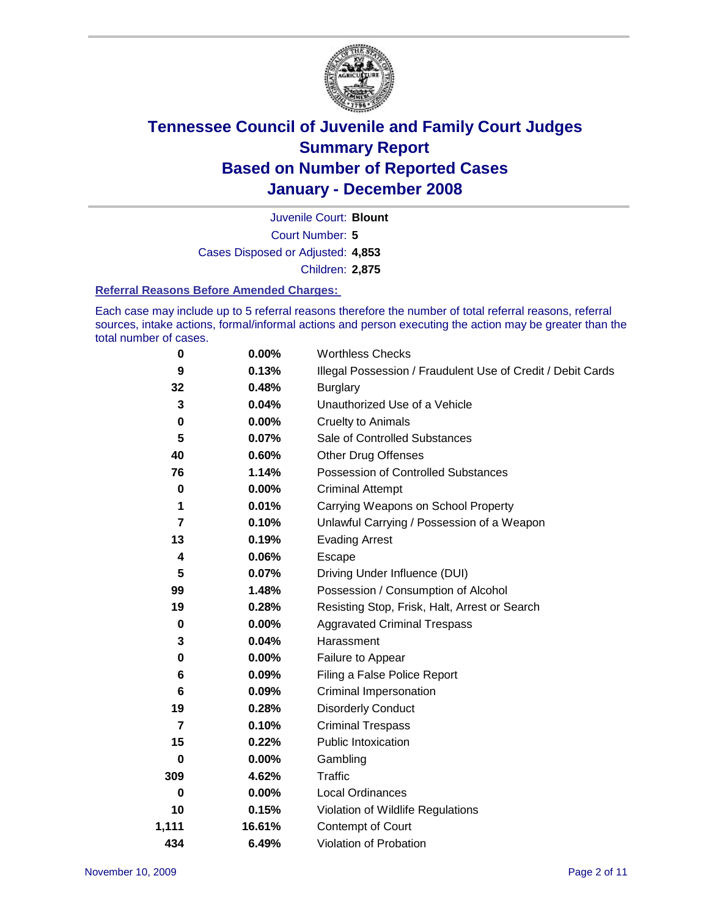

Court Number: **5** Juvenile Court: **Blount** Cases Disposed or Adjusted: **4,853** Children: **2,875**

#### **Referral Reasons Before Amended Charges:**

Each case may include up to 5 referral reasons therefore the number of total referral reasons, referral sources, intake actions, formal/informal actions and person executing the action may be greater than the total number of cases.

| 0     | 0.00%    | <b>Worthless Checks</b>                                     |
|-------|----------|-------------------------------------------------------------|
| 9     | 0.13%    | Illegal Possession / Fraudulent Use of Credit / Debit Cards |
| 32    | 0.48%    | <b>Burglary</b>                                             |
| 3     | 0.04%    | Unauthorized Use of a Vehicle                               |
| 0     | 0.00%    | <b>Cruelty to Animals</b>                                   |
| 5     | 0.07%    | Sale of Controlled Substances                               |
| 40    | 0.60%    | <b>Other Drug Offenses</b>                                  |
| 76    | 1.14%    | <b>Possession of Controlled Substances</b>                  |
| 0     | 0.00%    | <b>Criminal Attempt</b>                                     |
| 1     | 0.01%    | Carrying Weapons on School Property                         |
| 7     | 0.10%    | Unlawful Carrying / Possession of a Weapon                  |
| 13    | 0.19%    | <b>Evading Arrest</b>                                       |
| 4     | 0.06%    | Escape                                                      |
| 5     | 0.07%    | Driving Under Influence (DUI)                               |
| 99    | 1.48%    | Possession / Consumption of Alcohol                         |
| 19    | 0.28%    | Resisting Stop, Frisk, Halt, Arrest or Search               |
| 0     | 0.00%    | <b>Aggravated Criminal Trespass</b>                         |
| 3     | 0.04%    | Harassment                                                  |
| 0     | $0.00\%$ | Failure to Appear                                           |
| 6     | 0.09%    | Filing a False Police Report                                |
| 6     | 0.09%    | Criminal Impersonation                                      |
| 19    | 0.28%    | <b>Disorderly Conduct</b>                                   |
| 7     | 0.10%    | <b>Criminal Trespass</b>                                    |
| 15    | 0.22%    | <b>Public Intoxication</b>                                  |
| 0     | 0.00%    | Gambling                                                    |
| 309   | 4.62%    | Traffic                                                     |
| 0     | 0.00%    | <b>Local Ordinances</b>                                     |
| 10    | 0.15%    | Violation of Wildlife Regulations                           |
| 1,111 | 16.61%   | Contempt of Court                                           |
| 434   | 6.49%    | Violation of Probation                                      |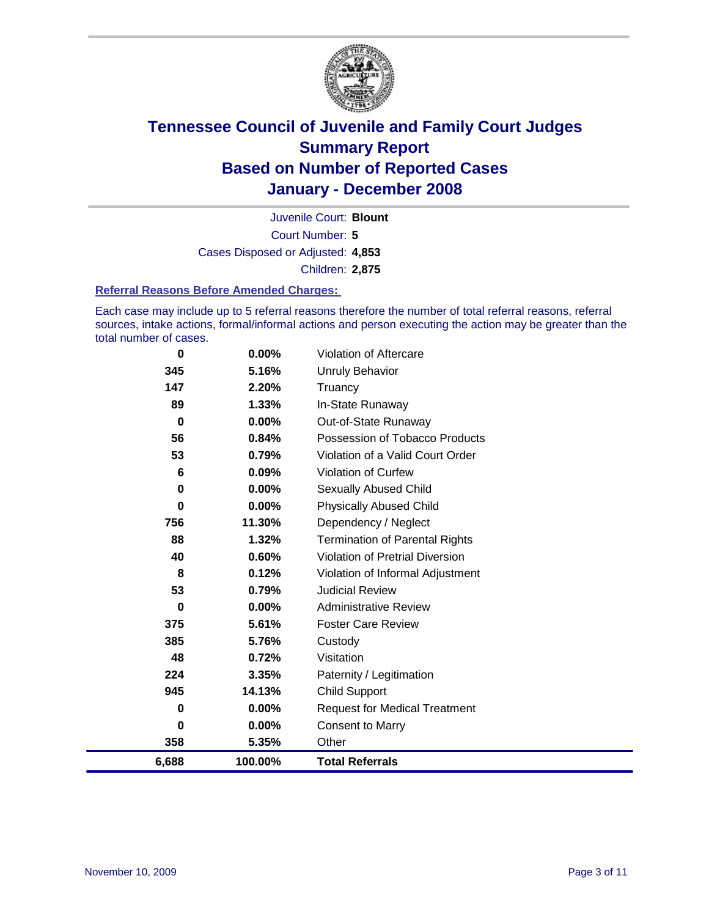

Court Number: **5** Juvenile Court: **Blount** Cases Disposed or Adjusted: **4,853** Children: **2,875**

#### **Referral Reasons Before Amended Charges:**

Each case may include up to 5 referral reasons therefore the number of total referral reasons, referral sources, intake actions, formal/informal actions and person executing the action may be greater than the total number of cases.

| 6,688    | 100.00% | <b>Total Referrals</b>                 |
|----------|---------|----------------------------------------|
| 358      | 5.35%   | Other                                  |
| 0        | 0.00%   | <b>Consent to Marry</b>                |
| 0        | 0.00%   | <b>Request for Medical Treatment</b>   |
| 945      | 14.13%  | <b>Child Support</b>                   |
| 224      | 3.35%   | Paternity / Legitimation               |
| 48       | 0.72%   | Visitation                             |
| 385      | 5.76%   | Custody                                |
| 375      | 5.61%   | <b>Foster Care Review</b>              |
| 0        | 0.00%   | <b>Administrative Review</b>           |
| 53       | 0.79%   | <b>Judicial Review</b>                 |
| 8        | 0.12%   | Violation of Informal Adjustment       |
| 40       | 0.60%   | <b>Violation of Pretrial Diversion</b> |
| 88       | 1.32%   | <b>Termination of Parental Rights</b>  |
| 756      | 11.30%  | Dependency / Neglect                   |
| $\bf{0}$ | 0.00%   | <b>Physically Abused Child</b>         |
| 0        | 0.00%   | <b>Sexually Abused Child</b>           |
| 6        | 0.09%   | <b>Violation of Curfew</b>             |
| 53       | 0.79%   | Violation of a Valid Court Order       |
| 56       | 0.84%   | Possession of Tobacco Products         |
| 0        | 0.00%   | Out-of-State Runaway                   |
| 89       | 1.33%   | In-State Runaway                       |
| 147      | 2.20%   | Truancy                                |
| 345      | 5.16%   | <b>Unruly Behavior</b>                 |
| 0        | 0.00%   | Violation of Aftercare                 |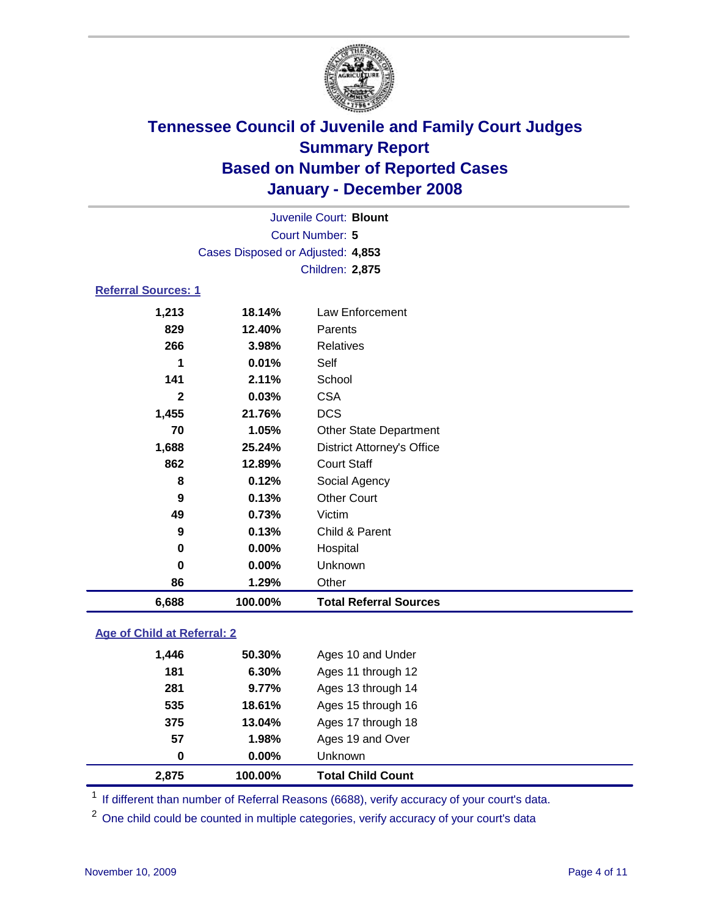

|                                   | Juvenile Court: Blount |                                   |  |  |  |
|-----------------------------------|------------------------|-----------------------------------|--|--|--|
| <b>Court Number: 5</b>            |                        |                                   |  |  |  |
| Cases Disposed or Adjusted: 4,853 |                        |                                   |  |  |  |
|                                   |                        | Children: 2,875                   |  |  |  |
| <b>Referral Sources: 1</b>        |                        |                                   |  |  |  |
| 1,213                             | 18.14%                 | Law Enforcement                   |  |  |  |
| 829                               | 12.40%                 | Parents                           |  |  |  |
| 266                               | 3.98%                  | <b>Relatives</b>                  |  |  |  |
| 1                                 | 0.01%                  | Self                              |  |  |  |
| 141                               | 2.11%                  | School                            |  |  |  |
| $\mathbf{2}$                      | 0.03%                  | <b>CSA</b>                        |  |  |  |
| 1,455                             | 21.76%                 | <b>DCS</b>                        |  |  |  |
| 70                                | 1.05%                  | <b>Other State Department</b>     |  |  |  |
| 1,688                             | 25.24%                 | <b>District Attorney's Office</b> |  |  |  |
| 862                               | 12.89%                 | <b>Court Staff</b>                |  |  |  |
| 8                                 | 0.12%                  | Social Agency                     |  |  |  |
| 9                                 | 0.13%                  | <b>Other Court</b>                |  |  |  |
| 49                                | 0.73%                  | Victim                            |  |  |  |
| 9                                 | 0.13%                  | Child & Parent                    |  |  |  |
| 0                                 | 0.00%                  | Hospital                          |  |  |  |
| 0                                 | 0.00%                  | Unknown                           |  |  |  |
| 86                                | 1.29%                  | Other                             |  |  |  |
| 6,688                             | 100.00%                | <b>Total Referral Sources</b>     |  |  |  |

### **Age of Child at Referral: 2**

| $0.00\%$ |                    |  |
|----------|--------------------|--|
|          | <b>Unknown</b>     |  |
| 1.98%    | Ages 19 and Over   |  |
| 13.04%   | Ages 17 through 18 |  |
| 18.61%   | Ages 15 through 16 |  |
| 9.77%    | Ages 13 through 14 |  |
| 6.30%    | Ages 11 through 12 |  |
| 50.30%   | Ages 10 and Under  |  |
|          |                    |  |

<sup>1</sup> If different than number of Referral Reasons (6688), verify accuracy of your court's data.

<sup>2</sup> One child could be counted in multiple categories, verify accuracy of your court's data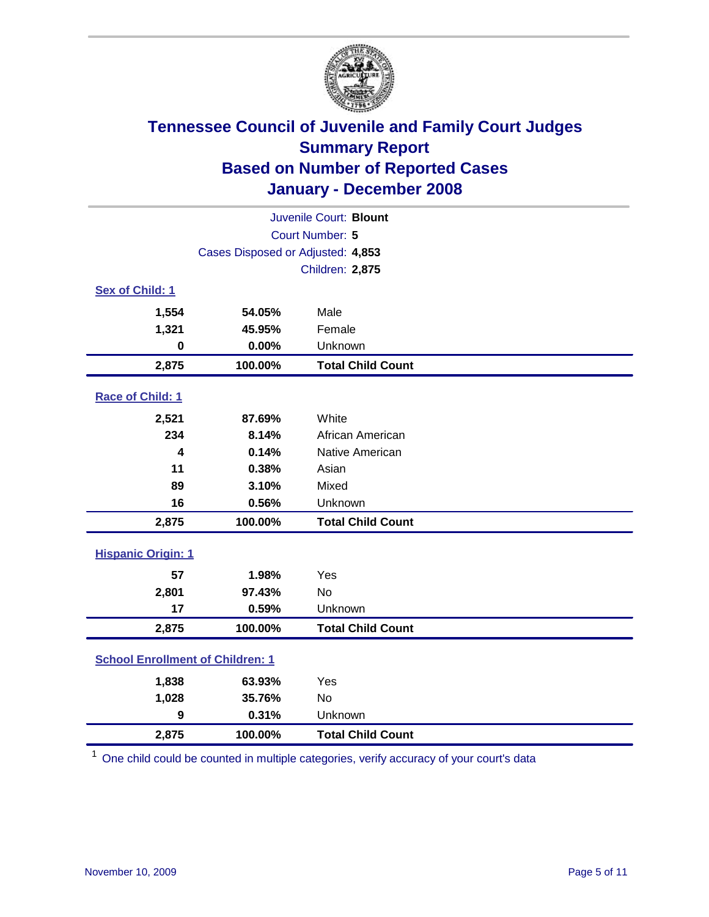

| Juvenile Court: Blount                  |                                   |                          |  |  |
|-----------------------------------------|-----------------------------------|--------------------------|--|--|
| Court Number: 5                         |                                   |                          |  |  |
|                                         | Cases Disposed or Adjusted: 4,853 |                          |  |  |
|                                         |                                   | Children: 2,875          |  |  |
| Sex of Child: 1                         |                                   |                          |  |  |
| 1,554                                   | 54.05%                            | Male                     |  |  |
| 1,321                                   | 45.95%                            | Female                   |  |  |
| 0                                       | 0.00%                             | Unknown                  |  |  |
| 2,875                                   | 100.00%                           | <b>Total Child Count</b> |  |  |
| Race of Child: 1                        |                                   |                          |  |  |
| 2,521                                   | 87.69%                            | White                    |  |  |
| 234                                     | 8.14%                             | African American         |  |  |
| 4                                       | 0.14%                             | Native American          |  |  |
| 11                                      | 0.38%                             | Asian                    |  |  |
| 89                                      | 3.10%                             | Mixed                    |  |  |
| 16                                      | 0.56%                             | Unknown                  |  |  |
| 2,875                                   | 100.00%                           | <b>Total Child Count</b> |  |  |
| <b>Hispanic Origin: 1</b>               |                                   |                          |  |  |
| 57                                      | 1.98%                             | Yes                      |  |  |
| 2,801                                   | 97.43%                            | No                       |  |  |
| 17                                      | 0.59%                             | Unknown                  |  |  |
| 2,875                                   | 100.00%                           | <b>Total Child Count</b> |  |  |
| <b>School Enrollment of Children: 1</b> |                                   |                          |  |  |
| 1,838                                   | 63.93%                            | Yes                      |  |  |
| 1,028                                   | 35.76%                            | No                       |  |  |
| 9                                       | 0.31%                             | Unknown                  |  |  |
| 2,875                                   | 100.00%                           | <b>Total Child Count</b> |  |  |

<sup>1</sup> One child could be counted in multiple categories, verify accuracy of your court's data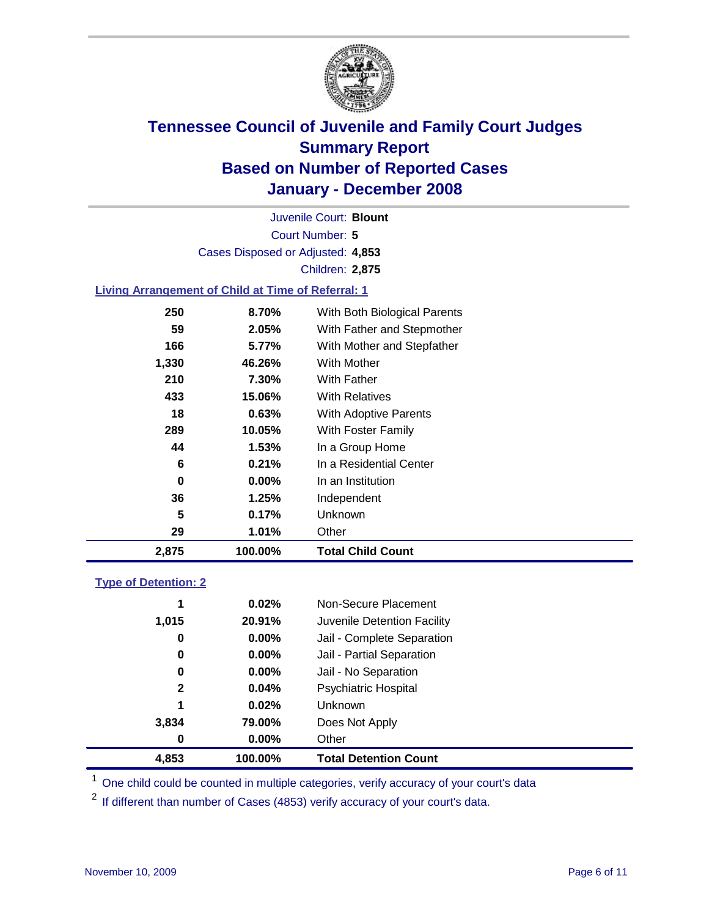

Court Number: **5** Juvenile Court: **Blount** Cases Disposed or Adjusted: **4,853** Children: **2,875**

### **Living Arrangement of Child at Time of Referral: 1**

| 2,875 | 100.00%  | <b>Total Child Count</b>     |
|-------|----------|------------------------------|
| 29    | 1.01%    | Other                        |
| 5     | 0.17%    | Unknown                      |
| 36    | 1.25%    | Independent                  |
| 0     | $0.00\%$ | In an Institution            |
| 6     | 0.21%    | In a Residential Center      |
| 44    | $1.53\%$ | In a Group Home              |
| 289   | 10.05%   | With Foster Family           |
| 18    | 0.63%    | With Adoptive Parents        |
| 433   | 15.06%   | <b>With Relatives</b>        |
| 210   | 7.30%    | With Father                  |
| 1,330 | 46.26%   | With Mother                  |
| 166   | 5.77%    | With Mother and Stepfather   |
| 59    | 2.05%    | With Father and Stepmother   |
| 250   | 8.70%    | With Both Biological Parents |
|       |          |                              |

#### **Type of Detention: 2**

| 4.853        | 100.00%  | <b>Total Detention Count</b> |  |
|--------------|----------|------------------------------|--|
| 0            | $0.00\%$ | Other                        |  |
| 3,834        | 79.00%   | Does Not Apply               |  |
| 1            | 0.02%    | Unknown                      |  |
| $\mathbf{2}$ | 0.04%    | <b>Psychiatric Hospital</b>  |  |
| 0            | $0.00\%$ | Jail - No Separation         |  |
| 0            | $0.00\%$ | Jail - Partial Separation    |  |
| 0            | $0.00\%$ | Jail - Complete Separation   |  |
| 1,015        | 20.91%   | Juvenile Detention Facility  |  |
| 1            | 0.02%    | Non-Secure Placement         |  |
|              |          |                              |  |

<sup>1</sup> One child could be counted in multiple categories, verify accuracy of your court's data

<sup>2</sup> If different than number of Cases (4853) verify accuracy of your court's data.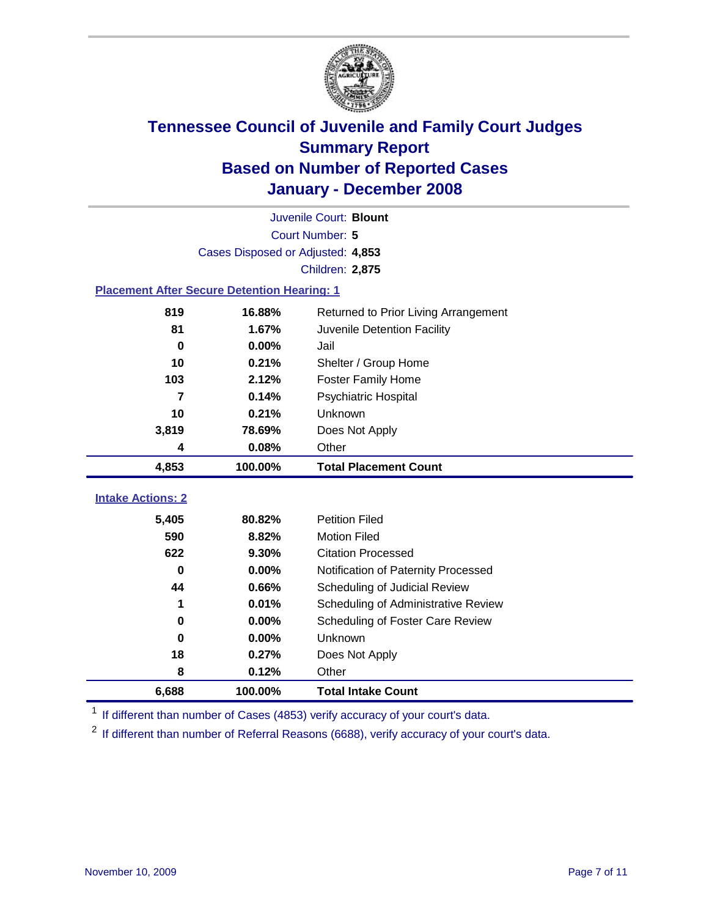

|                                                    | Juvenile Court: Blount            |                                      |  |  |  |
|----------------------------------------------------|-----------------------------------|--------------------------------------|--|--|--|
|                                                    | Court Number: 5                   |                                      |  |  |  |
|                                                    | Cases Disposed or Adjusted: 4,853 |                                      |  |  |  |
|                                                    |                                   | <b>Children: 2,875</b>               |  |  |  |
| <b>Placement After Secure Detention Hearing: 1</b> |                                   |                                      |  |  |  |
| 819                                                | 16.88%                            | Returned to Prior Living Arrangement |  |  |  |
| 81                                                 | 1.67%                             | Juvenile Detention Facility          |  |  |  |
| $\bf{0}$                                           | 0.00%                             | Jail                                 |  |  |  |
| 10                                                 | 0.21%                             | Shelter / Group Home                 |  |  |  |
| 103                                                | 2.12%                             | <b>Foster Family Home</b>            |  |  |  |
| $\overline{7}$                                     | 0.14%                             | Psychiatric Hospital                 |  |  |  |
| 10                                                 | 0.21%                             | Unknown                              |  |  |  |
| 3,819                                              | 78.69%                            | Does Not Apply                       |  |  |  |
| 4                                                  | 0.08%                             | Other                                |  |  |  |
| 4,853                                              | 100.00%                           | <b>Total Placement Count</b>         |  |  |  |
| <b>Intake Actions: 2</b>                           |                                   |                                      |  |  |  |
|                                                    |                                   |                                      |  |  |  |
| 5,405                                              | 80.82%                            | <b>Petition Filed</b>                |  |  |  |
| 590                                                | 8.82%                             | <b>Motion Filed</b>                  |  |  |  |
| 622                                                | 9.30%                             | <b>Citation Processed</b>            |  |  |  |
| 0                                                  | 0.00%                             | Notification of Paternity Processed  |  |  |  |
| 44                                                 | 0.66%                             | Scheduling of Judicial Review        |  |  |  |
| 1                                                  | 0.01%                             | Scheduling of Administrative Review  |  |  |  |
| 0                                                  | 0.00%                             | Scheduling of Foster Care Review     |  |  |  |
| $\bf{0}$                                           | 0.00%                             | Unknown                              |  |  |  |
| 18                                                 | 0.27%                             | Does Not Apply                       |  |  |  |
| 8                                                  | 0.12%                             | Other                                |  |  |  |
| 6,688                                              | 100.00%                           | <b>Total Intake Count</b>            |  |  |  |

<sup>1</sup> If different than number of Cases (4853) verify accuracy of your court's data.

<sup>2</sup> If different than number of Referral Reasons (6688), verify accuracy of your court's data.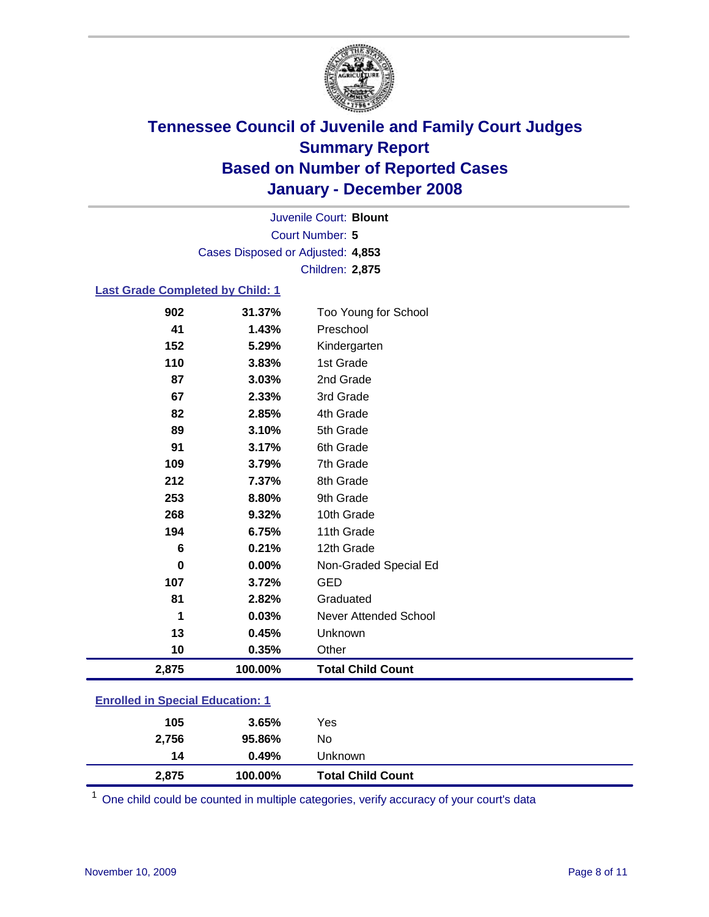

Court Number: **5** Juvenile Court: **Blount** Cases Disposed or Adjusted: **4,853** Children: **2,875**

### **Last Grade Completed by Child: 1**

| 2,875    | 100.00% | <b>Total Child Count</b>     |
|----------|---------|------------------------------|
| 10       | 0.35%   | Other                        |
| 13       | 0.45%   | Unknown                      |
| 1        | 0.03%   | <b>Never Attended School</b> |
| 81       | 2.82%   | Graduated                    |
| 107      | 3.72%   | <b>GED</b>                   |
| $\bf{0}$ | 0.00%   | Non-Graded Special Ed        |
| 6        | 0.21%   | 12th Grade                   |
| 194      | 6.75%   | 11th Grade                   |
| 268      | 9.32%   | 10th Grade                   |
| 253      | 8.80%   | 9th Grade                    |
| 212      | 7.37%   | 8th Grade                    |
| 109      | 3.79%   | 7th Grade                    |
| 91       | 3.17%   | 6th Grade                    |
| 89       | 3.10%   | 5th Grade                    |
| 82       | 2.85%   | 4th Grade                    |
| 67       | 2.33%   | 3rd Grade                    |
| 87       | 3.03%   | 2nd Grade                    |
| 110      | 3.83%   | 1st Grade                    |
| 152      | 5.29%   | Kindergarten                 |
| 41       | 1.43%   | Preschool                    |
| 902      | 31.37%  | Too Young for School         |

### **Enrolled in Special Education: 1**

| 2,875 | 100.00% | <b>Total Child Count</b> |  |
|-------|---------|--------------------------|--|
| 14    | 0.49%   | Unknown                  |  |
| 2,756 | 95.86%  | No                       |  |
| 105   | 3.65%   | Yes                      |  |
|       |         |                          |  |

<sup>1</sup> One child could be counted in multiple categories, verify accuracy of your court's data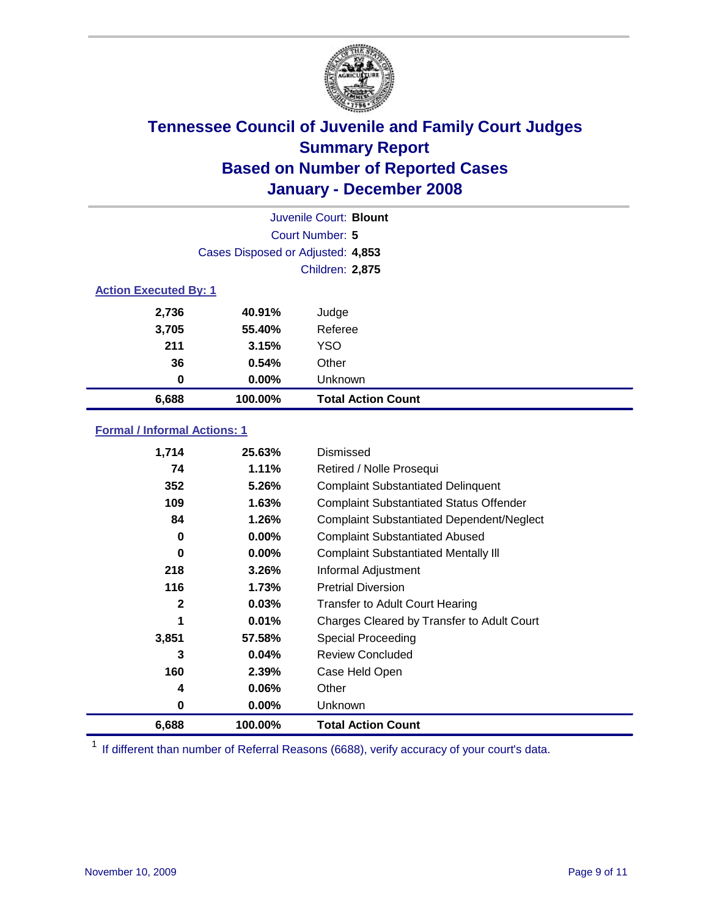

| Juvenile Court: Blount       |                                   |                           |  |  |  |
|------------------------------|-----------------------------------|---------------------------|--|--|--|
|                              | Court Number: 5                   |                           |  |  |  |
|                              | Cases Disposed or Adjusted: 4,853 |                           |  |  |  |
|                              |                                   | <b>Children: 2,875</b>    |  |  |  |
| <b>Action Executed By: 1</b> |                                   |                           |  |  |  |
| 2,736                        | 40.91%                            | Judge                     |  |  |  |
| 3,705                        | 55.40%                            | Referee                   |  |  |  |
| 211                          | 3.15%                             | <b>YSO</b>                |  |  |  |
| 36                           | 0.54%                             | Other                     |  |  |  |
| 0                            | $0.00\%$                          | Unknown                   |  |  |  |
| 6,688                        | 100.00%                           | <b>Total Action Count</b> |  |  |  |

### **Formal / Informal Actions: 1**

| 1,714        | 25.63%   | Dismissed                                        |
|--------------|----------|--------------------------------------------------|
| 74           | 1.11%    | Retired / Nolle Prosequi                         |
| 352          | 5.26%    | <b>Complaint Substantiated Delinquent</b>        |
| 109          | 1.63%    | <b>Complaint Substantiated Status Offender</b>   |
| 84           | 1.26%    | <b>Complaint Substantiated Dependent/Neglect</b> |
| 0            | 0.00%    | <b>Complaint Substantiated Abused</b>            |
| 0            | 0.00%    | <b>Complaint Substantiated Mentally III</b>      |
| 218          | 3.26%    | Informal Adjustment                              |
| 116          | 1.73%    | <b>Pretrial Diversion</b>                        |
| $\mathbf{2}$ | 0.03%    | <b>Transfer to Adult Court Hearing</b>           |
| 1            | 0.01%    | Charges Cleared by Transfer to Adult Court       |
| 3,851        | 57.58%   | Special Proceeding                               |
| 3            | 0.04%    | <b>Review Concluded</b>                          |
| 160          | 2.39%    | Case Held Open                                   |
| 4            | $0.06\%$ | Other                                            |
| 0            | 0.00%    | <b>Unknown</b>                                   |
| 6,688        | 100.00%  | <b>Total Action Count</b>                        |

<sup>1</sup> If different than number of Referral Reasons (6688), verify accuracy of your court's data.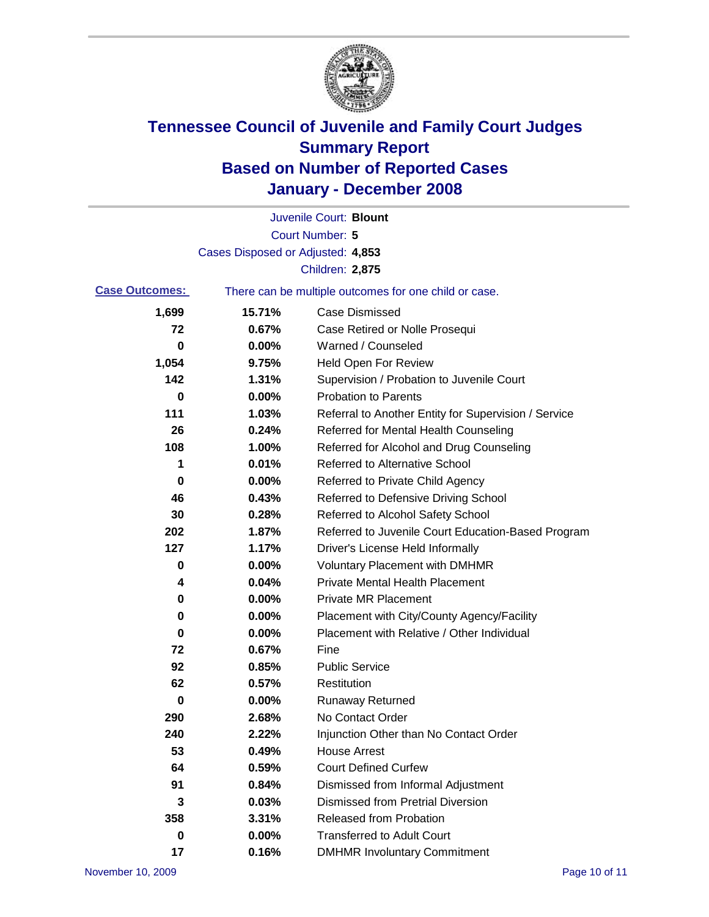

|                       |                                   | Juvenile Court: Blount                                |
|-----------------------|-----------------------------------|-------------------------------------------------------|
|                       |                                   | Court Number: 5                                       |
|                       | Cases Disposed or Adjusted: 4,853 |                                                       |
|                       |                                   | Children: 2,875                                       |
| <b>Case Outcomes:</b> |                                   | There can be multiple outcomes for one child or case. |
| 1,699                 | 15.71%                            | <b>Case Dismissed</b>                                 |
| 72                    | 0.67%                             | Case Retired or Nolle Prosequi                        |
| 0                     | 0.00%                             | Warned / Counseled                                    |
| 1,054                 | 9.75%                             | <b>Held Open For Review</b>                           |
| 142                   | 1.31%                             | Supervision / Probation to Juvenile Court             |
| 0                     | 0.00%                             | <b>Probation to Parents</b>                           |
| 111                   | 1.03%                             | Referral to Another Entity for Supervision / Service  |
| 26                    | 0.24%                             | Referred for Mental Health Counseling                 |
| 108                   | 1.00%                             | Referred for Alcohol and Drug Counseling              |
| 1                     | 0.01%                             | <b>Referred to Alternative School</b>                 |
| 0                     | 0.00%                             | Referred to Private Child Agency                      |
| 46                    | 0.43%                             | Referred to Defensive Driving School                  |
| 30                    | 0.28%                             | Referred to Alcohol Safety School                     |
| 202                   | 1.87%                             | Referred to Juvenile Court Education-Based Program    |
| 127                   | 1.17%                             | Driver's License Held Informally                      |
| 0                     | 0.00%                             | <b>Voluntary Placement with DMHMR</b>                 |
| 4                     | 0.04%                             | <b>Private Mental Health Placement</b>                |
| 0                     | 0.00%                             | Private MR Placement                                  |
| 0                     | 0.00%                             | Placement with City/County Agency/Facility            |
| 0                     | 0.00%                             | Placement with Relative / Other Individual            |
| 72                    | 0.67%                             | Fine                                                  |
| 92                    | 0.85%                             | <b>Public Service</b>                                 |
| 62                    | 0.57%                             | Restitution                                           |
| 0                     | 0.00%                             | <b>Runaway Returned</b>                               |
| 290                   | 2.68%                             | No Contact Order                                      |
| 240                   | 2.22%                             | Injunction Other than No Contact Order                |
| 53                    | 0.49%                             | <b>House Arrest</b>                                   |
| 64                    | 0.59%                             | <b>Court Defined Curfew</b>                           |
| 91                    | 0.84%                             | Dismissed from Informal Adjustment                    |
| 3                     | 0.03%                             | <b>Dismissed from Pretrial Diversion</b>              |
| 358                   | 3.31%                             | <b>Released from Probation</b>                        |
| 0                     | 0.00%                             | <b>Transferred to Adult Court</b>                     |
| 17                    | 0.16%                             | <b>DMHMR Involuntary Commitment</b>                   |